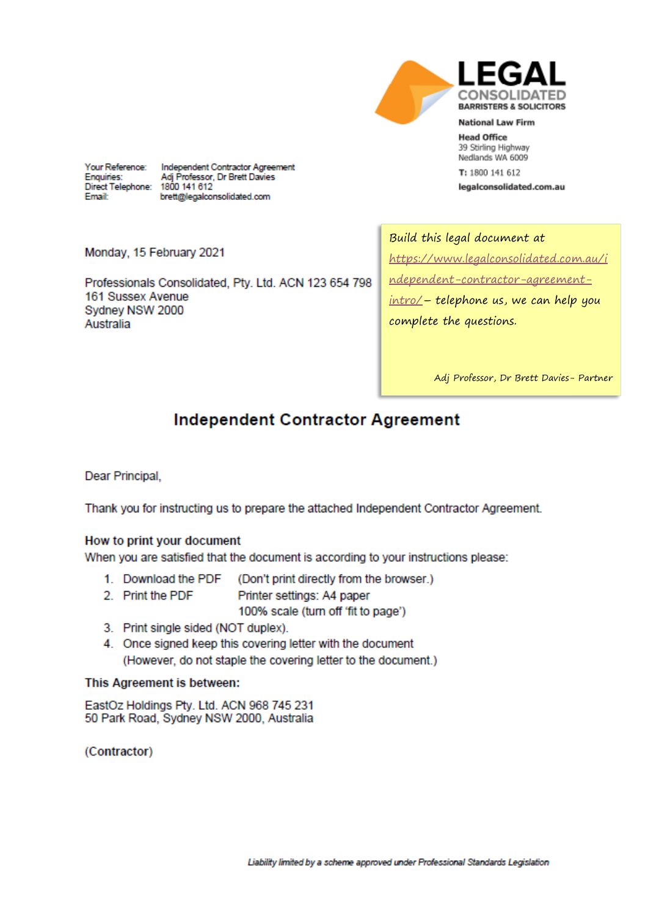

**Head Office** 39 Stirling Highway Nedlands WA 6009

T: 1800 141 612

legalconsolidated.com.au

Your Reference: Enquiries: Direct Telephone: 1800 141 612 **Email:** 

Independent Contractor Agreement Adj Professor, Dr Brett Davies brett@legalconsolidated.com

Monday, 15 February 2021

Professionals Consolidated, Pty. Ltd. ACN 123 654 798 161 Sussex Avenue Sydney NSW 2000 Australia

Build this legal document at https://www.legalconsolidated.com.au/i ndependent-contractor-agreement $intro/- telephone$  us, we can help you complete the questions.

Adj Professor, Dr Brett Davies- Partner

# **Independent Contractor Agreement**

Dear Principal.

Thank you for instructing us to prepare the attached Independent Contractor Agreement.

## How to print your document

When you are satisfied that the document is according to your instructions please:

- 1. Download the PDF (Don't print directly from the browser.)
- 2. Print the PDF Printer settings: A4 paper

100% scale (turn off 'fit to page')

- 3. Print single sided (NOT duplex).
- 4. Once signed keep this covering letter with the document (However, do not staple the covering letter to the document.)

## This Agreement is between:

EastOz Holdings Pty. Ltd. ACN 968 745 231 50 Park Road, Sydney NSW 2000, Australia

(Contractor)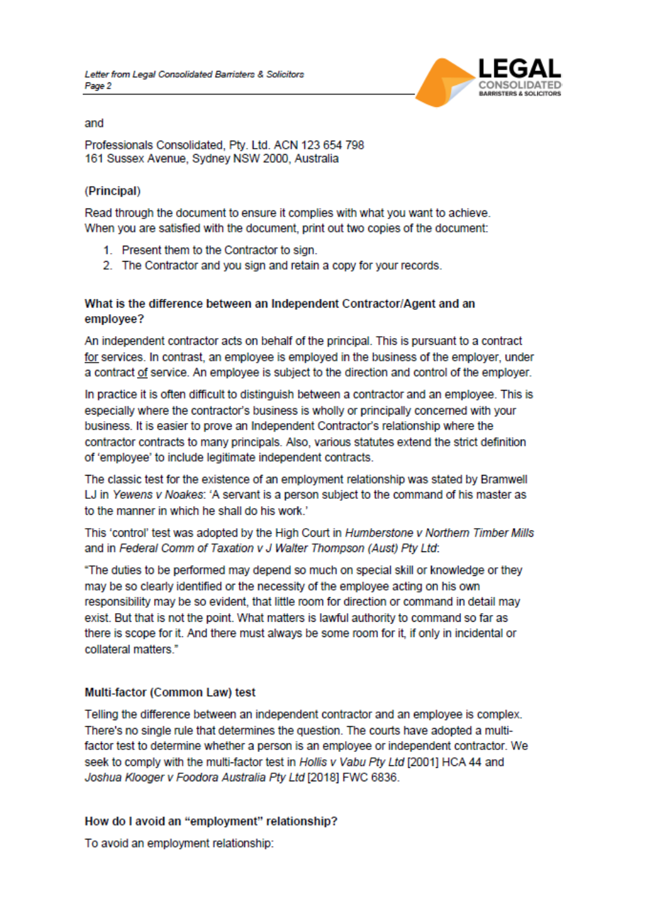

and

Professionals Consolidated, Pty. Ltd. ACN 123 654 798 161 Sussex Avenue, Sydney NSW 2000, Australia

## (Principal)

Read through the document to ensure it complies with what you want to achieve. When you are satisfied with the document, print out two copies of the document:

- 1. Present them to the Contractor to sign.
- 2. The Contractor and you sign and retain a copy for your records.

## What is the difference between an Independent Contractor/Agent and an employee?

An independent contractor acts on behalf of the principal. This is pursuant to a contract for services. In contrast, an employee is employed in the business of the employer, under a contract of service. An employee is subject to the direction and control of the employer.

In practice it is often difficult to distinguish between a contractor and an employee. This is especially where the contractor's business is wholly or principally concerned with your business. It is easier to prove an Independent Contractor's relationship where the contractor contracts to many principals. Also, various statutes extend the strict definition of 'employee' to include legitimate independent contracts.

The classic test for the existence of an employment relationship was stated by Bramwell LJ in Yewens v Noakes: 'A servant is a person subject to the command of his master as to the manner in which he shall do his work.'

This 'control' test was adopted by the High Court in Humberstone v Northern Timber Mills and in Federal Comm of Taxation v J Walter Thompson (Aust) Pty Ltd:

"The duties to be performed may depend so much on special skill or knowledge or they may be so clearly identified or the necessity of the employee acting on his own responsibility may be so evident, that little room for direction or command in detail may exist. But that is not the point. What matters is lawful authority to command so far as there is scope for it. And there must always be some room for it, if only in incidental or collateral matters."

## Multi-factor (Common Law) test

Telling the difference between an independent contractor and an employee is complex. There's no single rule that determines the question. The courts have adopted a multifactor test to determine whether a person is an employee or independent contractor. We seek to comply with the multi-factor test in Hollis v Vabu Pty Ltd [2001] HCA 44 and Joshua Klooger v Foodora Australia Pty Ltd [2018] FWC 6836.

## How do I avoid an "employment" relationship?

To avoid an employment relationship: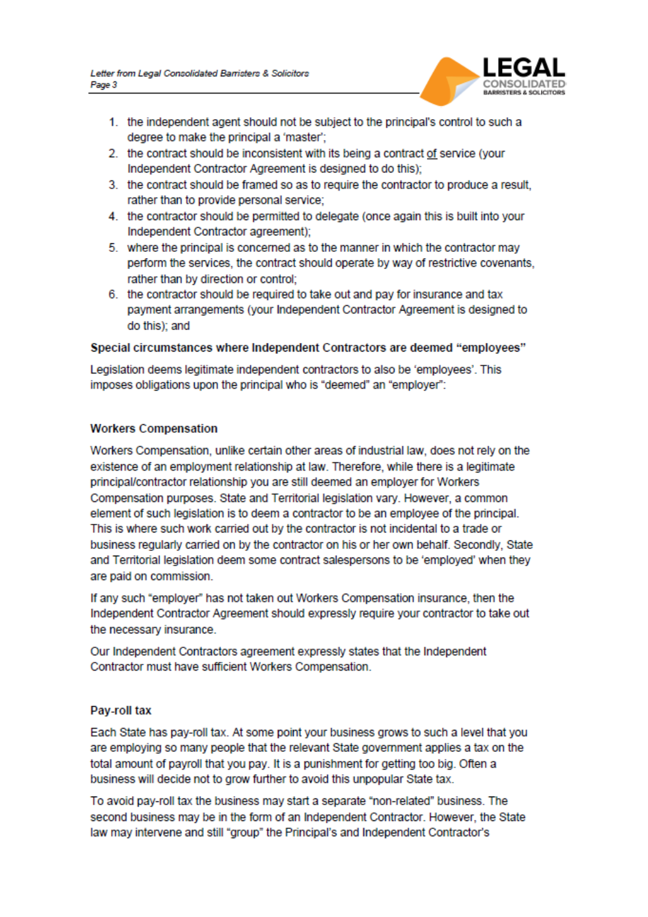

- 1. the independent agent should not be subject to the principal's control to such a degree to make the principal a 'master';
- 2. the contract should be inconsistent with its being a contract of service (your Independent Contractor Agreement is designed to do this);
- 3. the contract should be framed so as to require the contractor to produce a result, rather than to provide personal service:
- 4. the contractor should be permitted to delegate (once again this is built into your Independent Contractor agreement);
- 5. where the principal is concerned as to the manner in which the contractor may perform the services, the contract should operate by way of restrictive covenants. rather than by direction or control;
- 6. the contractor should be required to take out and pay for insurance and tax payment arrangements (your Independent Contractor Agreement is designed to do this); and

## Special circumstances where Independent Contractors are deemed "employees"

Legislation deems legitimate independent contractors to also be 'employees'. This imposes obligations upon the principal who is "deemed" an "employer":

## **Workers Compensation**

Workers Compensation, unlike certain other areas of industrial law, does not rely on the existence of an employment relationship at law. Therefore, while there is a legitimate principal/contractor relationship you are still deemed an employer for Workers Compensation purposes. State and Territorial legislation vary. However, a common element of such legislation is to deem a contractor to be an employee of the principal. This is where such work carried out by the contractor is not incidental to a trade or business regularly carried on by the contractor on his or her own behalf. Secondly, State and Territorial legislation deem some contract salespersons to be 'employed' when they are paid on commission.

If any such "employer" has not taken out Workers Compensation insurance, then the Independent Contractor Agreement should expressly require your contractor to take out the necessary insurance.

Our Independent Contractors agreement expressiv states that the Independent Contractor must have sufficient Workers Compensation.

## Pay-roll tax

Each State has pay-roll tax. At some point your business grows to such a level that you are employing so many people that the relevant State government applies a tax on the total amount of payroll that you pay. It is a punishment for getting too big. Often a business will decide not to grow further to avoid this unpopular State tax.

To avoid pay-roll tax the business may start a separate "non-related" business. The second business may be in the form of an Independent Contractor. However, the State law may intervene and still "group" the Principal's and Independent Contractor's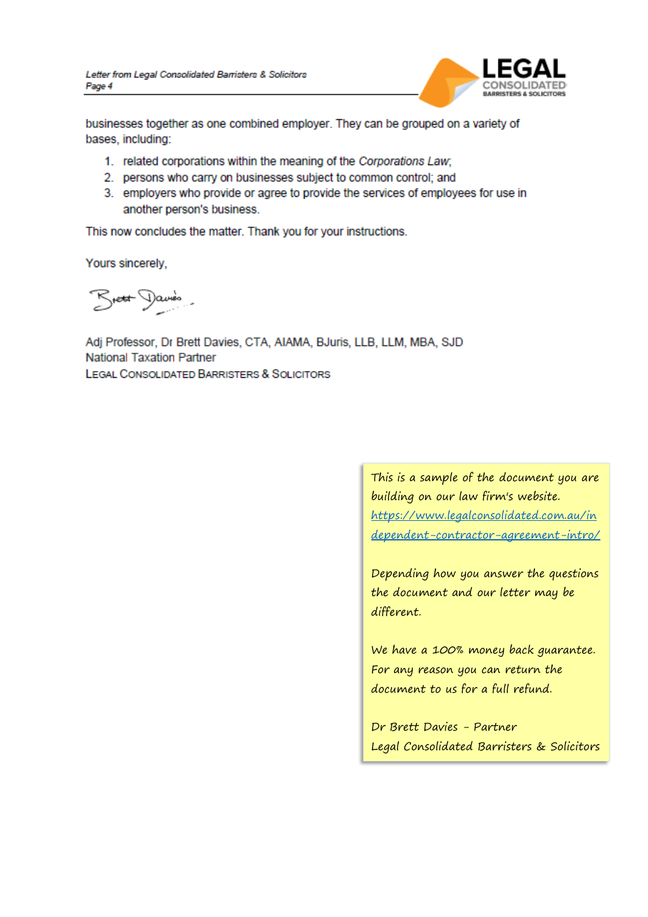

businesses together as one combined employer. They can be grouped on a variety of bases, including:

- 1. related corporations within the meaning of the Corporations Law;
- 2. persons who carry on businesses subject to common control; and
- 3. employers who provide or agree to provide the services of employees for use in another person's business.

This now concludes the matter. Thank you for your instructions.

Yours sincerely,

Breat Davis.

Adj Professor, Dr Brett Davies, CTA, AIAMA, BJuris, LLB, LLM, MBA, SJD **National Taxation Partner** LEGAL CONSOLIDATED BARRISTERS & SOLICITORS

> This is a sample of the document you are building on our law firm's website. [https://www.legalconsolidated.com.au/in](https://www.legalconsolidated.com.au/independent-contractor-agreement-intro/) [dependent-contractor-agreement-intro/](https://www.legalconsolidated.com.au/independent-contractor-agreement-intro/)

> Depending how you answer the questions the document and our letter may be different.

We have a 100% money back guarantee. For any reason you can return the document to us for a full refund.

Dr Brett Davies - Partner Legal Consolidated Barristers & Solicitors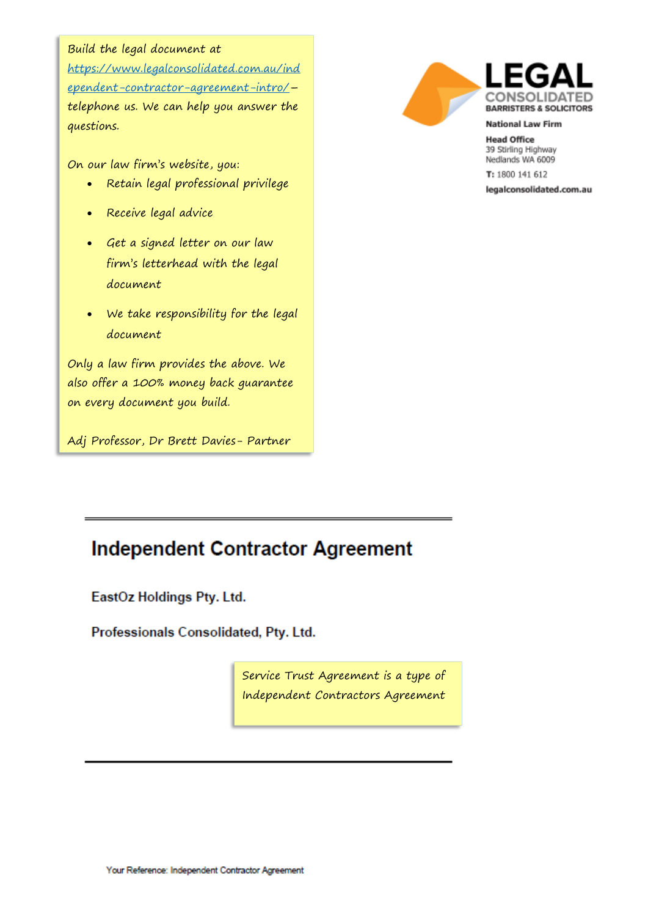## Build the legal document at

[https://www.legalconsolidated.com.au/ind](https://www.legalconsolidated.com.au/independent-contractor-agreement-intro/) [ependent-contractor-agreement-intro/](https://www.legalconsolidated.com.au/independent-contractor-agreement-intro/)– telephone us. We can help you answer the questions.

On our law firm's website, you:

- Retain legal professional privilege
- Receive legal advice
- Get a signed letter on our law firm's letterhead with the legal document
- We take responsibility for the legal document

Only a law firm provides the above. We also offer a 100% money back guarantee on every document you build.

Adj Professor, Dr Brett Davies- Partner





**National Law Firm** 

**Head Office** 39 Stirling Highway Nedlands WA 6009 T: 1800 141 612

legalconsolidated.com.au

# **Independent Contractor Agreement**

EastOz Holdings Pty. Ltd.

Professionals Consolidated, Pty. Ltd.

Service Trust Agreement is a type of Independent Contractors Agreement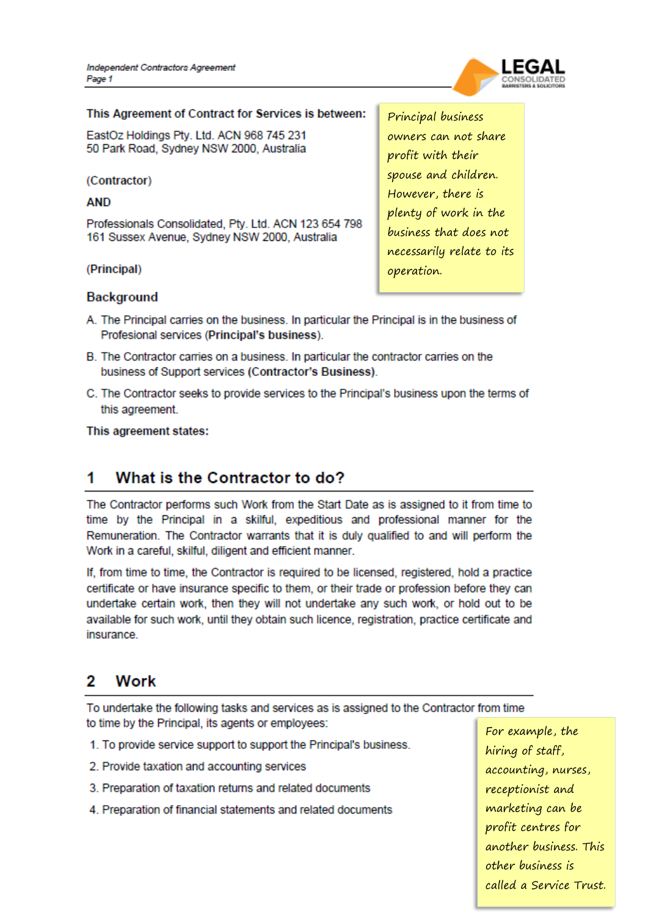

### This Agreement of Contract for Services is between:

EastOz Holdings Pty. Ltd. ACN 968 745 231 50 Park Road, Sydney NSW 2000, Australia

(Contractor)

**AND** 

Professionals Consolidated, Pty. Ltd. ACN 123 654 798 161 Sussex Avenue, Sydney NSW 2000, Australia

(Principal)

Principal business owners can not share profit with their spouse and children. However, there is plenty of work in the business that does not necessarily relate to its operation.

## **Background**

- A. The Principal carries on the business. In particular the Principal is in the business of Profesional services (Principal's business).
- B. The Contractor carries on a business. In particular the contractor carries on the business of Support services (Contractor's Business).
- C. The Contractor seeks to provide services to the Principal's business upon the terms of this agreement.

This agreement states:

#### 1 What is the Contractor to do?

The Contractor performs such Work from the Start Date as is assigned to it from time to time by the Principal in a skilful, expeditious and professional manner for the Remuneration. The Contractor warrants that it is duly qualified to and will perform the Work in a careful, skilful, diligent and efficient manner.

If, from time to time, the Contractor is required to be licensed, registered, hold a practice certificate or have insurance specific to them, or their trade or profession before they can undertake certain work, then they will not undertake any such work, or hold out to be available for such work, until they obtain such licence, registration, practice certificate and insurance.

#### 2 Work

To undertake the following tasks and services as is assigned to the Contractor from time to time by the Principal, its agents or employees:

- 1. To provide service support to support the Principal's business.
- 2. Provide taxation and accounting services
- 3. Preparation of taxation returns and related documents
- 4. Preparation of financial statements and related documents

For example, the hiring of staff, accounting, nurses, receptionist and marketing can be profit centres for another business. This other business is called a Service Trust.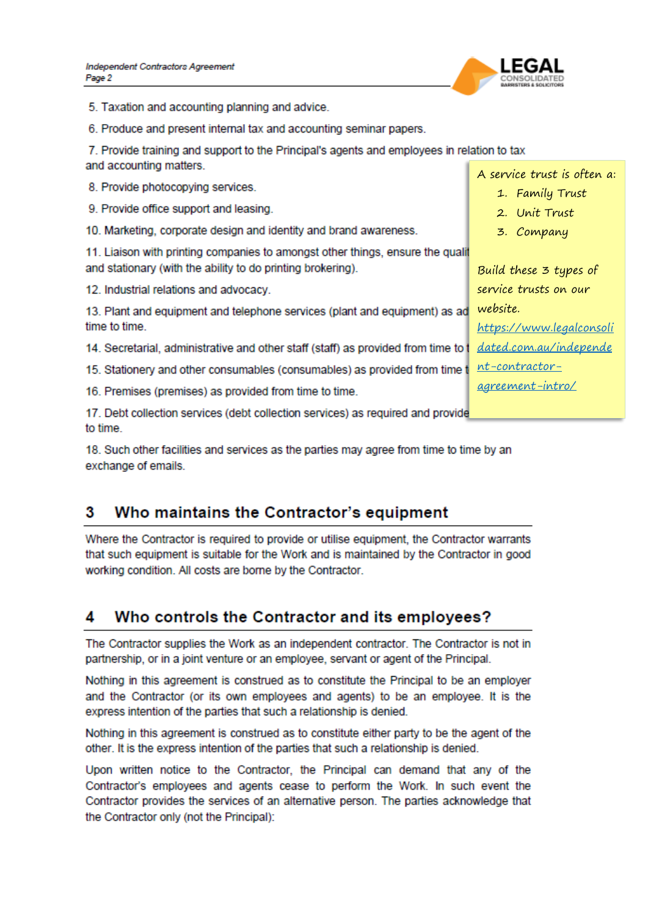

5. Taxation and accounting planning and advice.

6. Produce and present internal tax and accounting seminar papers.

7. Provide training and support to the Principal's agents and employees in relation to tax and accounting matters.

8. Provide photocopying services.

9. Provide office support and leasing.

10. Marketing, corporate design and identity and brand awareness.

11. Liaison with printing companies to amongst other things, ensure the qualit and stationary (with the ability to do printing brokering).

12. Industrial relations and advocacy.

13. Plant and equipment and telephone services (plant and equipment) as ad website. time to time.

14. Secretarial, administrative and other staff (staff) as provided from time to t

15. Stationery and other consumables (consumables) as provided from time t

16. Premises (premises) as provided from time to time.

17. Debt collection services (debt collection services) as required and provide to time

18. Such other facilities and services as the parties may agree from time to time by an exchange of emails.

#### 3 Who maintains the Contractor's equipment

Where the Contractor is required to provide or utilise equipment, the Contractor warrants that such equipment is suitable for the Work and is maintained by the Contractor in good working condition. All costs are borne by the Contractor.

#### Δ Who controls the Contractor and its employees?

The Contractor supplies the Work as an independent contractor. The Contractor is not in partnership, or in a joint venture or an employee, servant or agent of the Principal.

Nothing in this agreement is construed as to constitute the Principal to be an employer and the Contractor (or its own employees and agents) to be an employee. It is the express intention of the parties that such a relationship is denied.

Nothing in this agreement is construed as to constitute either party to be the agent of the other. It is the express intention of the parties that such a relationship is denied.

Upon written notice to the Contractor, the Principal can demand that any of the Contractor's employees and agents cease to perform the Work. In such event the Contractor provides the services of an alternative person. The parties acknowledge that the Contractor only (not the Principal):

A service trust is often a:

- 1. [Family Trust](https://www.legalconsolidated.com.au/family-discretionary-trust-intro/)
- 2. [Unit Trust](https://www.legalconsolidated.com.au/unit-trust-introduction/)
- 3. [Company](https://www.legalconsolidated.com.au/company-registration-intro/)

Build these 3 types of service trusts on our [https://www.legalconsoli](https://www.legalconsolidated.com.au/independent-contractor-agreement-intro/)

[dated.com.au/independe](https://www.legalconsolidated.com.au/independent-contractor-agreement-intro/) [nt-contractor-](https://www.legalconsolidated.com.au/independent-contractor-agreement-intro/)

[agreement-intro/](https://www.legalconsolidated.com.au/independent-contractor-agreement-intro/)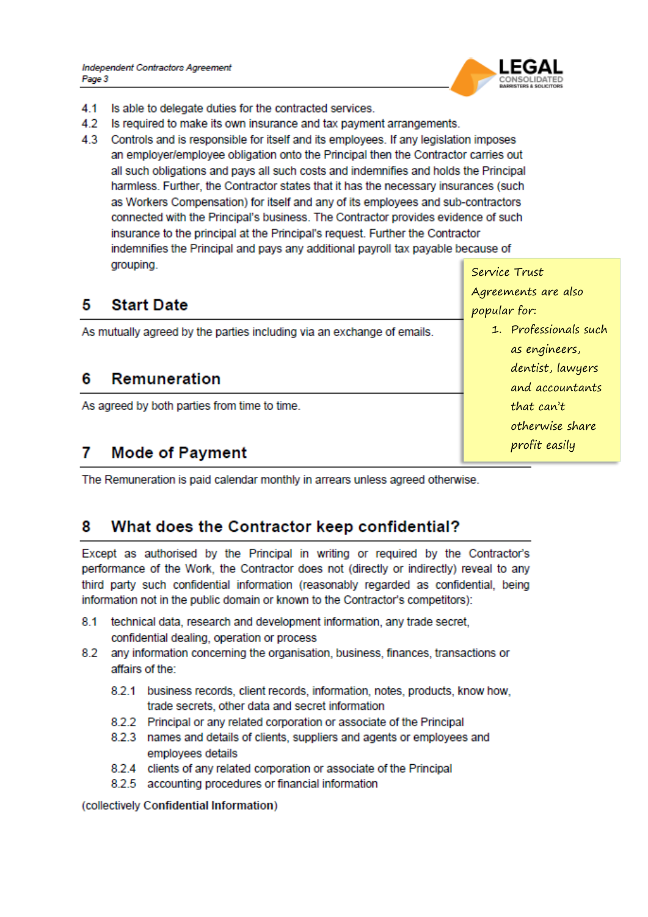

- 4.1 Is able to delegate duties for the contracted services.
- 4.2 Is required to make its own insurance and tax payment arrangements.
- 4.3 Controls and is responsible for itself and its employees. If any legislation imposes an employer/employee obligation onto the Principal then the Contractor carries out all such obligations and pays all such costs and indemnifies and holds the Principal harmless. Further, the Contractor states that it has the necessary insurances (such as Workers Compensation) for itself and any of its employees and sub-contractors connected with the Principal's business. The Contractor provides evidence of such insurance to the principal at the Principal's request. Further the Contractor indemnifies the Principal and pays any additional payroll tax payable because of grouping.

#### 5 **Start Date**

As mutually agreed by the parties including via an exchange of emails.

#### Remuneration 6

As agreed by both parties from time to time.

#### 7 **Mode of Payment**

The Remuneration is paid calendar monthly in arrears unless agreed otherwise.

#### 8 What does the Contractor keep confidential?

Except as authorised by the Principal in writing or required by the Contractor's performance of the Work, the Contractor does not (directly or indirectly) reveal to any third party such confidential information (reasonably regarded as confidential, being information not in the public domain or known to the Contractor's competitors):

- technical data, research and development information, any trade secret, 8.1 confidential dealing, operation or process
- 8.2 any information concerning the organisation, business, finances, transactions or affairs of the:
	- 8.2.1 business records, client records, information, notes, products, know how, trade secrets, other data and secret information
	- 8.2.2 Principal or any related corporation or associate of the Principal
	- 8.2.3 names and details of clients, suppliers and agents or employees and employees details
	- 8.2.4 clients of any related corporation or associate of the Principal
	- 8.2.5 accounting procedures or financial information

(collectively Confidential Information)

Service Trust Agreements are also popular for:

> 1. Professionals such as engineers, dentist, lawyers and accountants that  $can't$ otherwise share profit easily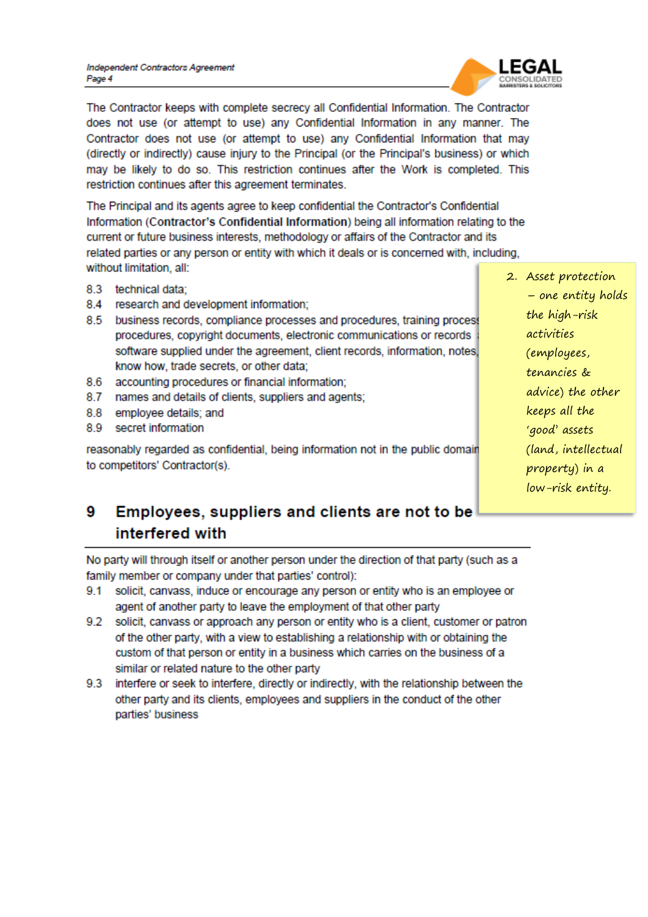

The Contractor keeps with complete secrecy all Confidential Information. The Contractor does not use (or attempt to use) any Confidential Information in any manner. The Contractor does not use (or attempt to use) any Confidential Information that may (directly or indirectly) cause injury to the Principal (or the Principal's business) or which may be likely to do so. This restriction continues after the Work is completed. This restriction continues after this agreement terminates.

The Principal and its agents agree to keep confidential the Contractor's Confidential Information (Contractor's Confidential Information) being all information relating to the current or future business interests, methodology or affairs of the Contractor and its related parties or any person or entity with which it deals or is concerned with, including, without limitation, all:

- 8.3 technical data;
- 8.4 research and development information;
- 8.5 business records, compliance processes and procedures, training process procedures, copyright documents, electronic communications or records software supplied under the agreement, client records, information, notes, know how, trade secrets, or other data;
- 8.6 accounting procedures or financial information:
- 8.7 names and details of clients, suppliers and agents;
- 8.8 employee details; and
- 8.9 secret information

reasonably regarded as confidential, being information not in the public domain to competitors' Contractor(s).

2. Asset protection - one entity holds the high-risk activities (employees, tenancies & advice) the other keeps all the 'good' assets (land, intellectual property) in a low-risk entity.

### 9 Employees, suppliers and clients are not to be interfered with

No party will through itself or another person under the direction of that party (such as a family member or company under that parties' control):

- 9.1 solicit, canvass, induce or encourage any person or entity who is an employee or agent of another party to leave the employment of that other party
- 9.2 solicit, canvass or approach any person or entity who is a client, customer or patron of the other party, with a view to establishing a relationship with or obtaining the custom of that person or entity in a business which carries on the business of a similar or related nature to the other party
- 9.3 interfere or seek to interfere, directly or indirectly, with the relationship between the other party and its clients, employees and suppliers in the conduct of the other parties' business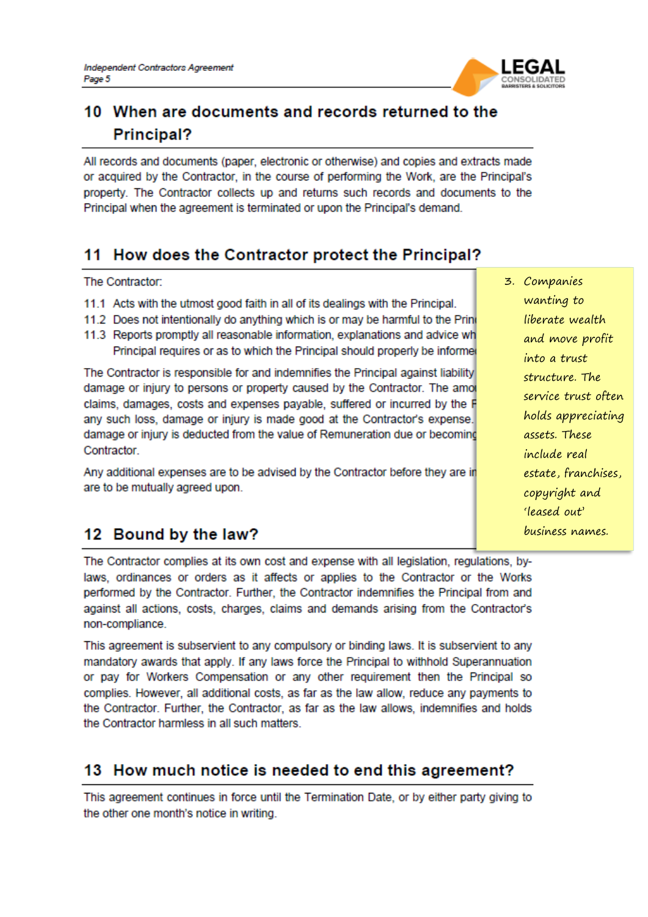

# 10 When are documents and records returned to the Principal?

All records and documents (paper, electronic or otherwise) and copies and extracts made or acquired by the Contractor, in the course of performing the Work, are the Principal's property. The Contractor collects up and returns such records and documents to the Principal when the agreement is terminated or upon the Principal's demand.

# 11 How does the Contractor protect the Principal?

The Contractor:

- 11.1 Acts with the utmost good faith in all of its dealings with the Principal.
- 11.2 Does not intentionally do anything which is or may be harmful to the Prine
- 11.3 Reports promptly all reasonable information, explanations and advice wh Principal requires or as to which the Principal should properly be informe

The Contractor is responsible for and indemnifies the Principal against liability damage or injury to persons or property caused by the Contractor. The amore claims, damages, costs and expenses payable, suffered or incurred by the F any such loss, damage or injury is made good at the Contractor's expense. damage or injury is deducted from the value of Remuneration due or becoming Contractor.

Any additional expenses are to be advised by the Contractor before they are in are to be mutually agreed upon.

## 12 Bound by the law?

The Contractor complies at its own cost and expense with all legislation, regulations, bylaws, ordinances or orders as it affects or applies to the Contractor or the Works performed by the Contractor. Further, the Contractor indemnifies the Principal from and against all actions, costs, charges, claims and demands arising from the Contractor's non-compliance.

This agreement is subservient to any compulsory or binding laws. It is subservient to any mandatory awards that apply. If any laws force the Principal to withhold Superannuation or pay for Workers Compensation or any other requirement then the Principal so complies. However, all additional costs, as far as the law allow, reduce any payments to the Contractor. Further, the Contractor, as far as the law allows, indemnifies and holds the Contractor harmless in all such matters.

# 13 How much notice is needed to end this agreement?

This agreement continues in force until the Termination Date, or by either party giving to the other one month's notice in writing.

3. Companies wanting to liberate wealth and move profit into a trust structure. The service trust often holds appreciating assets. These include real estate, franchises, copyright and 'leased out' business names.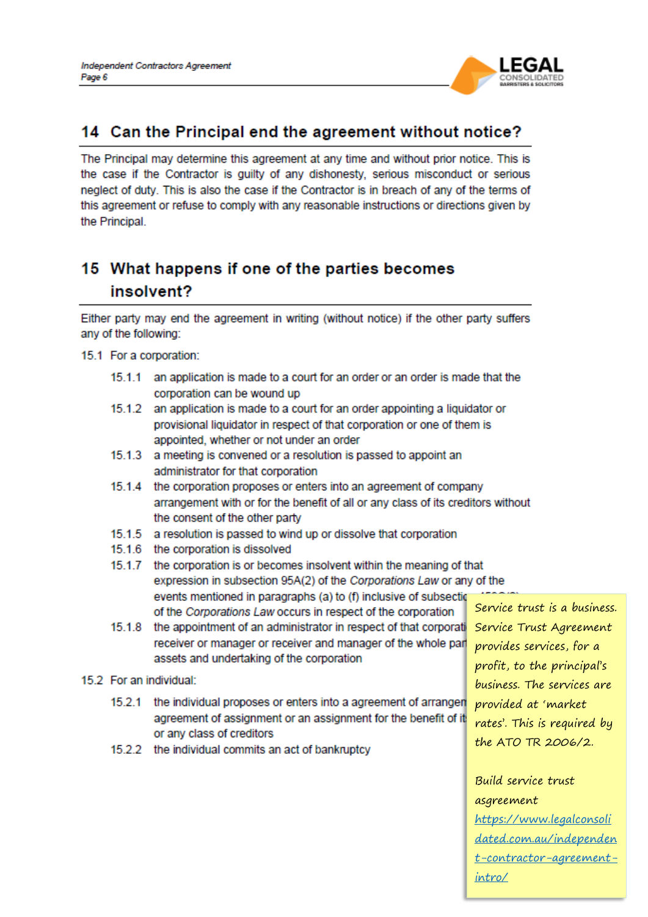

## 14 Can the Principal end the agreement without notice?

The Principal may determine this agreement at any time and without prior notice. This is the case if the Contractor is quilty of any dishonesty, serious misconduct or serious neglect of duty. This is also the case if the Contractor is in breach of any of the terms of this agreement or refuse to comply with any reasonable instructions or directions given by the Principal.

# 15 What happens if one of the parties becomes insolvent?

Either party may end the agreement in writing (without notice) if the other party suffers any of the following:

15.1 For a corporation:

- 15.1.1 an application is made to a court for an order or an order is made that the corporation can be wound up
- $15.1.2$ an application is made to a court for an order appointing a liquidator or provisional liquidator in respect of that corporation or one of them is appointed, whether or not under an order
- 15.1.3 a meeting is convened or a resolution is passed to appoint an administrator for that corporation
- 15.1.4 the corporation proposes or enters into an agreement of company arrangement with or for the benefit of all or any class of its creditors without the consent of the other party
- 15.1.5 a resolution is passed to wind up or dissolve that corporation
- 15.1.6 the corporation is dissolved
- $15.1.7$ the corporation is or becomes insolvent within the meaning of that expression in subsection 95A(2) of the Corporations Law or any of the events mentioned in paragraphs (a) to (f) inclusive of subsection of the Corporations Law occurs in respect of the corporation
- $15.1.8$ the appointment of an administrator in respect of that corporati receiver or manager or receiver and manager of the whole part assets and undertaking of the corporation
- 15.2 For an individual:
	- 15.2.1 the individual proposes or enters into a agreement of arrangen agreement of assignment or an assignment for the benefit of it or any class of creditors
	- 15.2.2 the individual commits an act of bankruptcy

Service trust is a business. Service Trust Agreement provides services, for a profit, to the principal's business. The services are provided at 'market rates'. This is required by the ATO TR 2006/2.

Build service trust asgreement https://www.legalconsoli dated.com.au/independen t-contractor-agreementintro/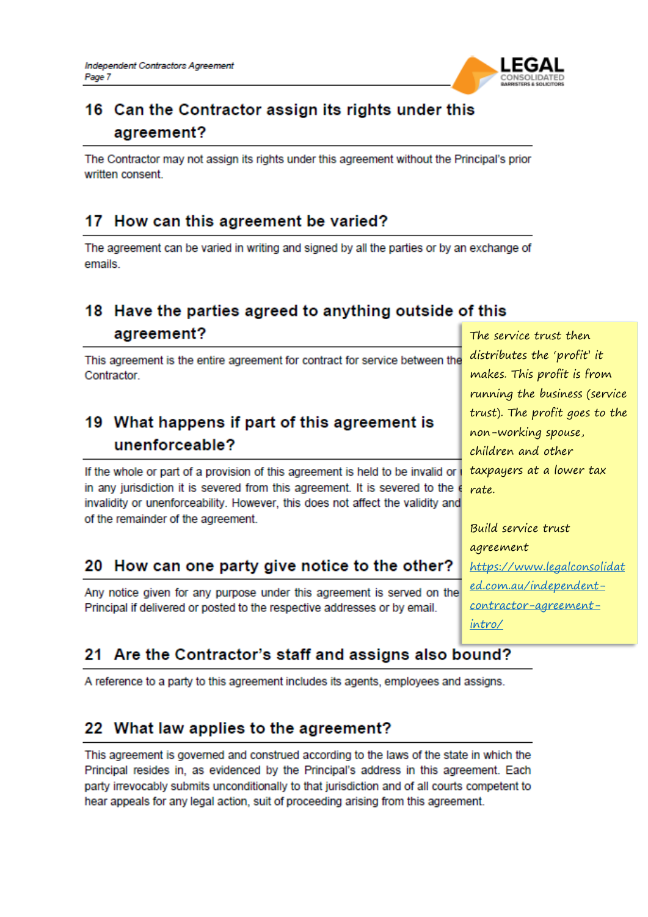

# 16 Can the Contractor assign its rights under this agreement?

The Contractor may not assign its rights under this agreement without the Principal's prior written consent.

## 17 How can this agreement be varied?

The agreement can be varied in writing and signed by all the parties or by an exchange of emails.

# 18 Have the parties agreed to anything outside of this agreement?

This agreement is the entire agreement for contract for service between the Contractor.

# 19 What happens if part of this agreement is unenforceable?

If the whole or part of a provision of this agreement is held to be invalid or in any jurisdiction it is severed from this agreement. It is severed to the invalidity or unenforceability. However, this does not affect the validity and of the remainder of the agreement.

## 20 How can one party give notice to the other?

Any notice given for any purpose under this agreement is served on the Principal if delivered or posted to the respective addresses or by email.

The service trust then distributes the 'profit' it makes. This profit is from running the business (service trust). The profit goes to the non-working spouse, children and other taxpayers at a lower tax rate.

Build service trust agreement https://www.legalconsolidat ed.com.au/independentcontractor-agreementintro/

# 21 Are the Contractor's staff and assigns also bound?

A reference to a party to this agreement includes its agents, employees and assigns.

## 22 What law applies to the agreement?

This agreement is governed and construed according to the laws of the state in which the Principal resides in, as evidenced by the Principal's address in this agreement. Each party irrevocably submits unconditionally to that jurisdiction and of all courts competent to hear appeals for any legal action, suit of proceeding arising from this agreement.